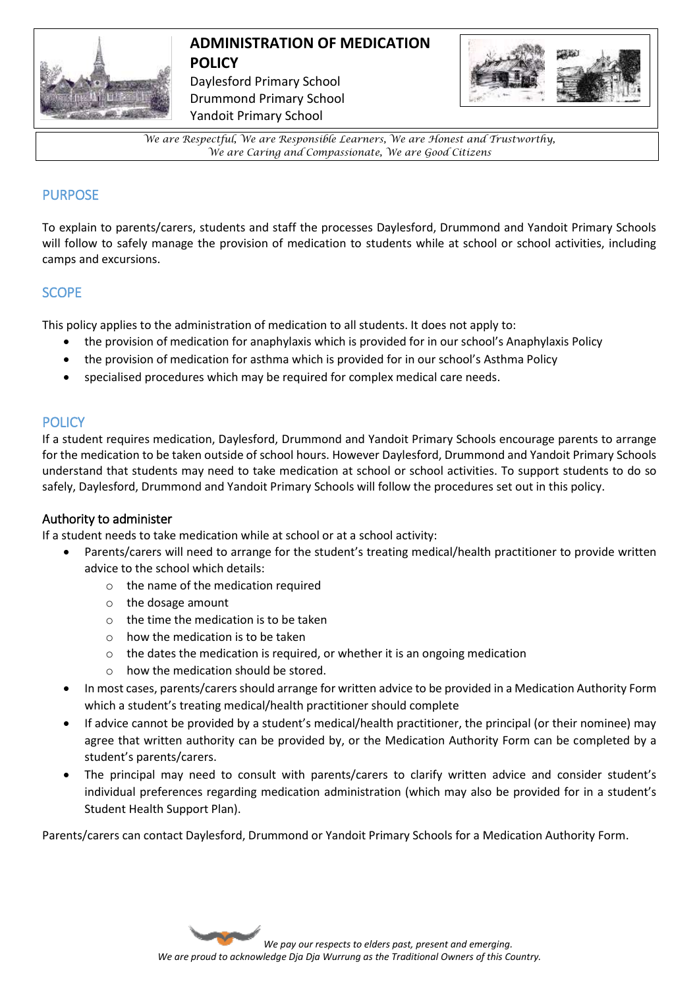

## **ADMINISTRATION OF MEDICATION POLICY**  Daylesford Primary School Drummond Primary School

Yandoit Primary School



*We are Respectful, We are Responsible Learners, We are Honest and Trustworthy, We are Caring and Compassionate, We are Good Citizens*

## PURPOSE

To explain to parents/carers, students and staff the processes Daylesford, Drummond and Yandoit Primary Schools will follow to safely manage the provision of medication to students while at school or school activities, including camps and excursions.

### **SCOPE**

This policy applies to the administration of medication to all students. It does not apply to:

- the provision of medication for anaphylaxis which is provided for in our school's Anaphylaxis Policy
- the provision of medication for asthma which is provided for in our school's Asthma Policy
- specialised procedures which may be required for complex medical care needs.

### **POLICY**

If a student requires medication, Daylesford, Drummond and Yandoit Primary Schools encourage parents to arrange for the medication to be taken outside of school hours. However Daylesford, Drummond and Yandoit Primary Schools understand that students may need to take medication at school or school activities. To support students to do so safely, Daylesford, Drummond and Yandoit Primary Schools will follow the procedures set out in this policy.

### Authority to administer

If a student needs to take medication while at school or at a school activity:

- Parents/carers will need to arrange for the student's treating medical/health practitioner to provide written advice to the school which details:
	- o the name of the medication required
	- o the dosage amount
	- o the time the medication is to be taken
	- o how the medication is to be taken
	- o the dates the medication is required, or whether it is an ongoing medication
	- o how the medication should be stored.
- In most cases, parents/carers should arrange for written advice to be provided in a Medication Authority Form which a student's treating medical/health practitioner should complete
- If advice cannot be provided by a student's medical/health practitioner, the principal (or their nominee) may agree that written authority can be provided by, or the Medication Authority Form can be completed by a student's parents/carers.
- The principal may need to consult with parents/carers to clarify written advice and consider student's individual preferences regarding medication administration (which may also be provided for in a student's Student Health Support Plan).

Parents/carers can contact Daylesford, Drummond or Yandoit Primary Schools for a Medication Authority Form.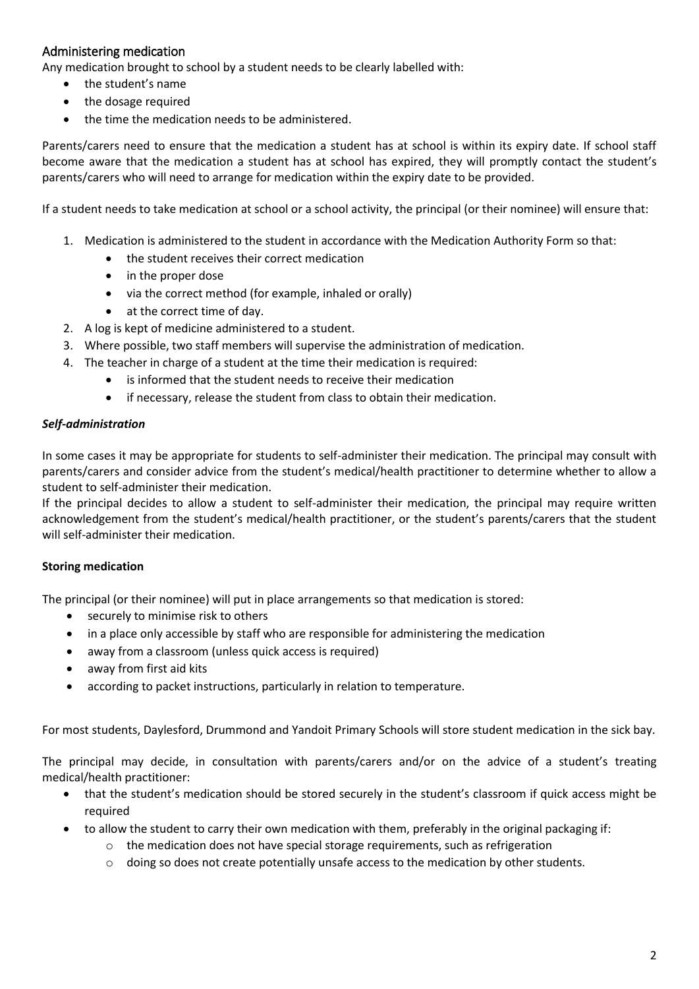## Administering medication

Any medication brought to school by a student needs to be clearly labelled with:

- the student's name
- the dosage required
- the time the medication needs to be administered.

Parents/carers need to ensure that the medication a student has at school is within its expiry date. If school staff become aware that the medication a student has at school has expired, they will promptly contact the student's parents/carers who will need to arrange for medication within the expiry date to be provided.

If a student needs to take medication at school or a school activity, the principal (or their nominee) will ensure that:

- 1. Medication is administered to the student in accordance with the Medication Authority Form so that:
	- the student receives their correct medication
	- in the proper dose
	- via the correct method (for example, inhaled or orally)
	- at the correct time of day.
- 2. A log is kept of medicine administered to a student.
- 3. Where possible, two staff members will supervise the administration of medication.
- 4. The teacher in charge of a student at the time their medication is required:
	- is informed that the student needs to receive their medication
	- if necessary, release the student from class to obtain their medication.

#### *Self-administration*

In some cases it may be appropriate for students to self-administer their medication. The principal may consult with parents/carers and consider advice from the student's medical/health practitioner to determine whether to allow a student to self-administer their medication.

If the principal decides to allow a student to self-administer their medication, the principal may require written acknowledgement from the student's medical/health practitioner, or the student's parents/carers that the student will self-administer their medication.

#### **Storing medication**

The principal (or their nominee) will put in place arrangements so that medication is stored:

- securely to minimise risk to others
- in a place only accessible by staff who are responsible for administering the medication
- away from a classroom (unless quick access is required)
- away from first aid kits
- according to packet instructions, particularly in relation to temperature.

For most students, Daylesford, Drummond and Yandoit Primary Schools will store student medication in the sick bay.

The principal may decide, in consultation with parents/carers and/or on the advice of a student's treating medical/health practitioner:

- that the student's medication should be stored securely in the student's classroom if quick access might be required
- to allow the student to carry their own medication with them, preferably in the original packaging if:
	- $\circ$  the medication does not have special storage requirements, such as refrigeration
	- $\circ$  doing so does not create potentially unsafe access to the medication by other students.